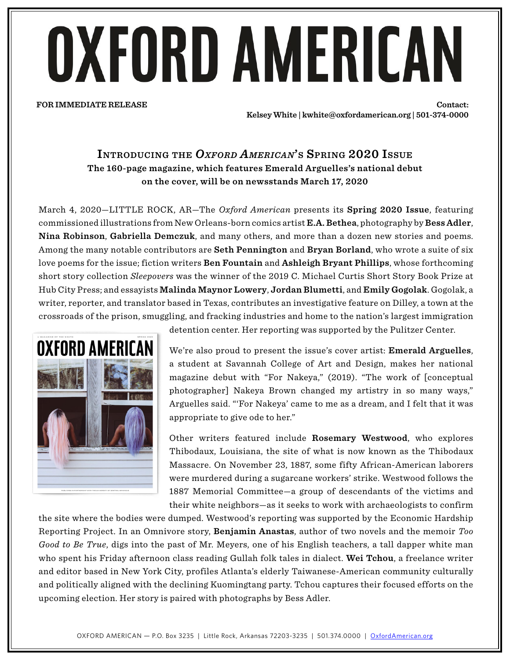## OXFORD AMERICAN

**FOR IMMEDIATE RELEASE Contact: Contact: Contact: Contact: Contact: Contact: Kelsey White | kwhite@oxfordamerican.org | 501-374-0000**

## **Introducing the** *Oxford American***'s Spring 2020 Issue The 160-page magazine, which features Emerald Arguelles's national debut on the cover, will be on newsstands March 17, 2020**

March 4, 2020—LITTLE ROCK, AR—The *Oxford American* presents its **Spring 2020 Issue**, featuring commissioned illustrations from New Orleans-born comics artist **E.A. Bethea**, photography by **Bess Adler**, **Nina Robinson**, **Gabriella Demczuk**, and many others, and more than a dozen new stories and poems. Among the many notable contributors are **Seth Pennington** and **Bryan Borland**, who wrote a suite of six love poems for the issue; fiction writers **Ben Fountain** and **Ashleigh Bryant Phillips**, whose forthcoming short story collection *Sleepovers* was the winner of the 2019 C. Michael Curtis Short Story Book Prize at Hub City Press; and essayists **Malinda Maynor Lowery**, **Jordan Blumetti**, and **Emily Gogolak**. Gogolak, a writer, reporter, and translator based in Texas, contributes an investigative feature on Dilley, a town at the crossroads of the prison, smuggling, and fracking industries and home to the nation's largest immigration



detention center. Her reporting was supported by the Pulitzer Center.

We're also proud to present the issue's cover artist: **Emerald Arguelles**, a student at Savannah College of Art and Design, makes her national magazine debut with "For Nakeya," (2019). "The work of [conceptual photographer] Nakeya Brown changed my artistry in so many ways," Arguelles said. "'For Nakeya' came to me as a dream, and I felt that it was appropriate to give ode to her."

Other writers featured include **Rosemary Westwood**, who explores Thibodaux, Louisiana, the site of what is now known as the Thibodaux Massacre. On November 23, 1887, some fifty African-American laborers were murdered during a sugarcane workers' strike. Westwood follows the 1887 Memorial Committee—a group of descendants of the victims and their white neighbors—as it seeks to work with archaeologists to confirm

the site where the bodies were dumped. Westwood's reporting was supported by the Economic Hardship Reporting Project. In an Omnivore story, **Benjamin Anastas**, author of two novels and the memoir *Too Good to Be True*, digs into the past of Mr. Meyers, one of his English teachers, a tall dapper white man who spent his Friday afternoon class reading Gullah folk tales in dialect. **Wei Tchou**, a freelance writer and editor based in New York City, profiles Atlanta's elderly Taiwanese-American community culturally and politically aligned with the declining Kuomingtang party. Tchou captures their focused efforts on the upcoming election. Her story is paired with photographs by Bess Adler.